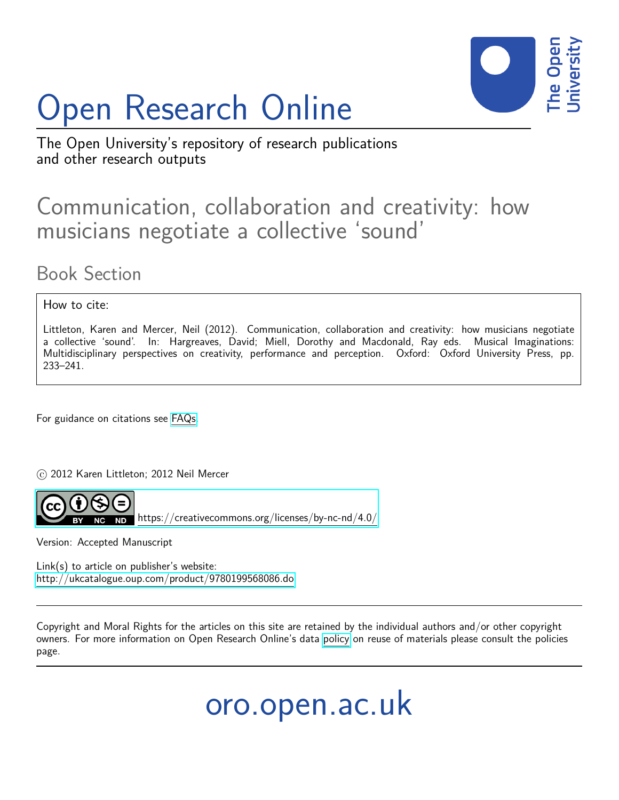# Open Research Online



The Open University's repository of research publications and other research outputs

# Communication, collaboration and creativity: how musicians negotiate a collective 'sound'

Book Section

How to cite:

Littleton, Karen and Mercer, Neil (2012). Communication, collaboration and creativity: how musicians negotiate a collective 'sound'. In: Hargreaves, David; Miell, Dorothy and Macdonald, Ray eds. Musical Imaginations: Multidisciplinary perspectives on creativity, performance and perception. Oxford: Oxford University Press, pp. 233–241.

For guidance on citations see [FAQs.](http://oro.open.ac.uk/help/helpfaq.html)

 $\odot$  2012 Karen Littleton; 2012 Neil Mercer



<https://creativecommons.org/licenses/by-nc-nd/4.0/>

Version: Accepted Manuscript

Link(s) to article on publisher's website: <http://ukcatalogue.oup.com/product/9780199568086.do>

Copyright and Moral Rights for the articles on this site are retained by the individual authors and/or other copyright owners. For more information on Open Research Online's data [policy](http://oro.open.ac.uk/policies.html) on reuse of materials please consult the policies page.

oro.open.ac.uk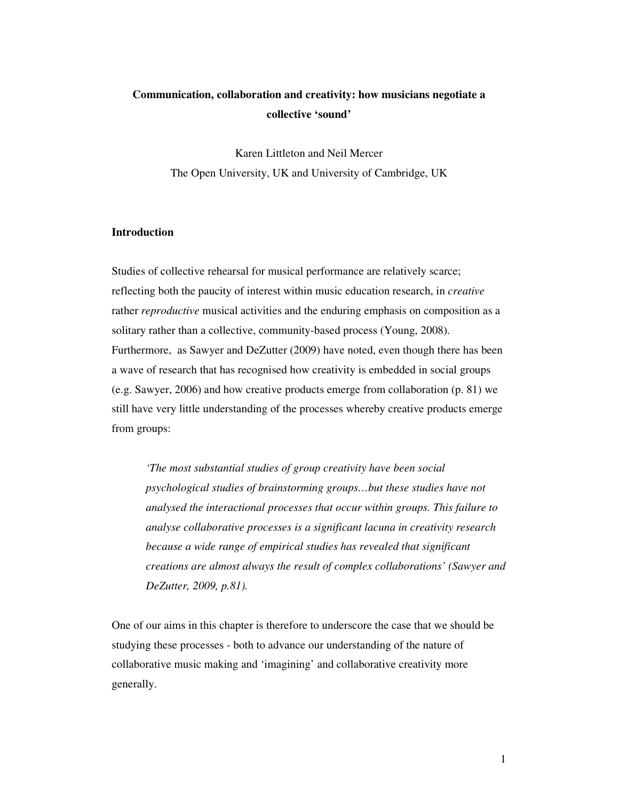# **Communication, collaboration and creativity: how musicians negotiate a collective 'sound'**

Karen Littleton and Neil Mercer The Open University, UK and University of Cambridge, UK

# **Introduction**

Studies of collective rehearsal for musical performance are relatively scarce; reflecting both the paucity of interest within music education research, in *creative* rather *reproductive* musical activities and the enduring emphasis on composition as a solitary rather than a collective, community-based process (Young, 2008). Furthermore, as Sawyer and DeZutter (2009) have noted, even though there has been a wave of research that has recognised how creativity is embedded in social groups (e.g. Sawyer, 2006) and how creative products emerge from collaboration (p. 81) we still have very little understanding of the processes whereby creative products emerge from groups:

*'The most substantial studies of group creativity have been social psychological studies of brainstorming groups…but these studies have not analysed the interactional processes that occur within groups. This failure to analyse collaborative processes is a significant lacuna in creativity research because a wide range of empirical studies has revealed that significant creations are almost always the result of complex collaborations' (Sawyer and DeZutter, 2009, p.81).* 

One of our aims in this chapter is therefore to underscore the case that we should be studying these processes - both to advance our understanding of the nature of collaborative music making and 'imagining' and collaborative creativity more generally.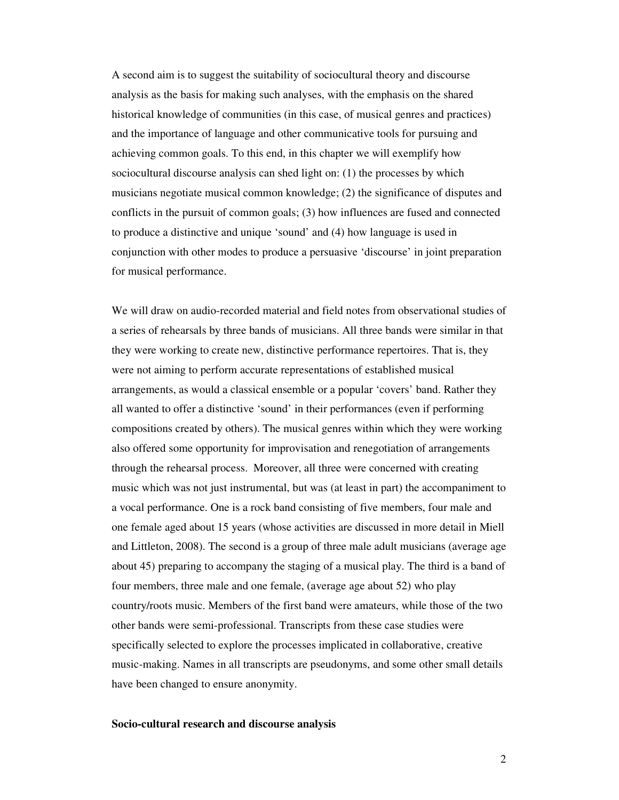A second aim is to suggest the suitability of sociocultural theory and discourse analysis as the basis for making such analyses, with the emphasis on the shared historical knowledge of communities (in this case, of musical genres and practices) and the importance of language and other communicative tools for pursuing and achieving common goals. To this end, in this chapter we will exemplify how sociocultural discourse analysis can shed light on: (1) the processes by which musicians negotiate musical common knowledge; (2) the significance of disputes and conflicts in the pursuit of common goals; (3) how influences are fused and connected to produce a distinctive and unique 'sound' and (4) how language is used in conjunction with other modes to produce a persuasive 'discourse' in joint preparation for musical performance.

We will draw on audio-recorded material and field notes from observational studies of a series of rehearsals by three bands of musicians. All three bands were similar in that they were working to create new, distinctive performance repertoires. That is, they were not aiming to perform accurate representations of established musical arrangements, as would a classical ensemble or a popular 'covers' band. Rather they all wanted to offer a distinctive 'sound' in their performances (even if performing compositions created by others). The musical genres within which they were working also offered some opportunity for improvisation and renegotiation of arrangements through the rehearsal process. Moreover, all three were concerned with creating music which was not just instrumental, but was (at least in part) the accompaniment to a vocal performance. One is a rock band consisting of five members, four male and one female aged about 15 years (whose activities are discussed in more detail in Miell and Littleton, 2008). The second is a group of three male adult musicians (average age about 45) preparing to accompany the staging of a musical play. The third is a band of four members, three male and one female, (average age about 52) who play country/roots music. Members of the first band were amateurs, while those of the two other bands were semi-professional. Transcripts from these case studies were specifically selected to explore the processes implicated in collaborative, creative music-making. Names in all transcripts are pseudonyms, and some other small details have been changed to ensure anonymity.

#### **Socio-cultural research and discourse analysis**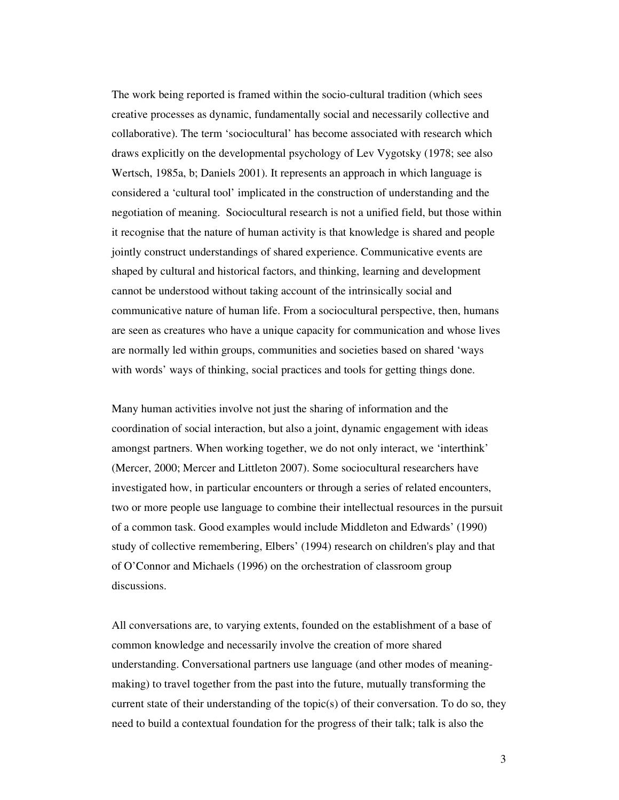The work being reported is framed within the socio-cultural tradition (which sees creative processes as dynamic, fundamentally social and necessarily collective and collaborative). The term 'sociocultural' has become associated with research which draws explicitly on the developmental psychology of Lev Vygotsky (1978; see also Wertsch, 1985a, b; Daniels 2001). It represents an approach in which language is considered a 'cultural tool' implicated in the construction of understanding and the negotiation of meaning. Sociocultural research is not a unified field, but those within it recognise that the nature of human activity is that knowledge is shared and people jointly construct understandings of shared experience. Communicative events are shaped by cultural and historical factors, and thinking, learning and development cannot be understood without taking account of the intrinsically social and communicative nature of human life. From a sociocultural perspective, then, humans are seen as creatures who have a unique capacity for communication and whose lives are normally led within groups, communities and societies based on shared 'ways with words' ways of thinking, social practices and tools for getting things done.

Many human activities involve not just the sharing of information and the coordination of social interaction, but also a joint, dynamic engagement with ideas amongst partners. When working together, we do not only interact, we 'interthink' (Mercer, 2000; Mercer and Littleton 2007). Some sociocultural researchers have investigated how, in particular encounters or through a series of related encounters, two or more people use language to combine their intellectual resources in the pursuit of a common task. Good examples would include Middleton and Edwards' (1990) study of collective remembering, Elbers' (1994) research on children's play and that of O'Connor and Michaels (1996) on the orchestration of classroom group discussions.

All conversations are, to varying extents, founded on the establishment of a base of common knowledge and necessarily involve the creation of more shared understanding. Conversational partners use language (and other modes of meaningmaking) to travel together from the past into the future, mutually transforming the current state of their understanding of the topic(s) of their conversation. To do so, they need to build a contextual foundation for the progress of their talk; talk is also the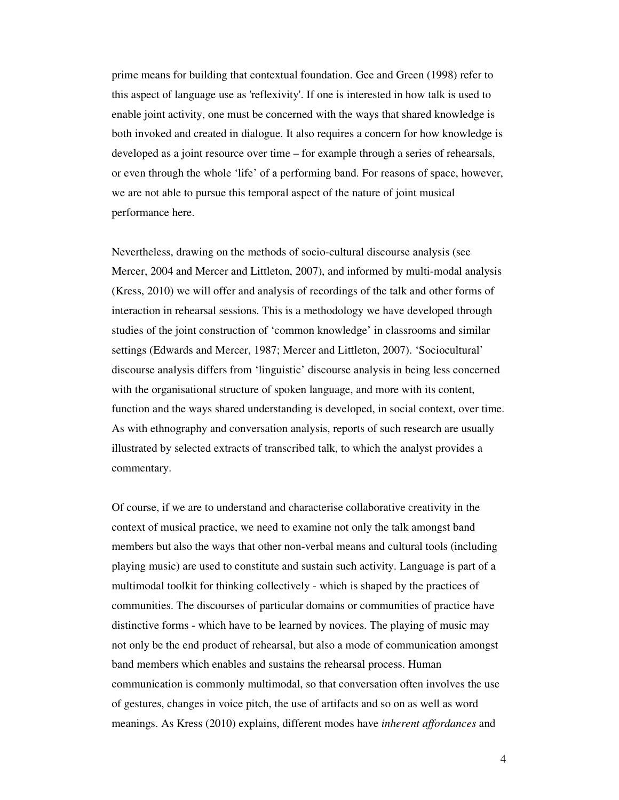prime means for building that contextual foundation. Gee and Green (1998) refer to this aspect of language use as 'reflexivity'. If one is interested in how talk is used to enable joint activity, one must be concerned with the ways that shared knowledge is both invoked and created in dialogue. It also requires a concern for how knowledge is developed as a joint resource over time – for example through a series of rehearsals, or even through the whole 'life' of a performing band. For reasons of space, however, we are not able to pursue this temporal aspect of the nature of joint musical performance here.

Nevertheless, drawing on the methods of socio-cultural discourse analysis (see Mercer, 2004 and Mercer and Littleton, 2007), and informed by multi-modal analysis (Kress, 2010) we will offer and analysis of recordings of the talk and other forms of interaction in rehearsal sessions. This is a methodology we have developed through studies of the joint construction of 'common knowledge' in classrooms and similar settings (Edwards and Mercer, 1987; Mercer and Littleton, 2007). 'Sociocultural' discourse analysis differs from 'linguistic' discourse analysis in being less concerned with the organisational structure of spoken language, and more with its content, function and the ways shared understanding is developed, in social context, over time. As with ethnography and conversation analysis, reports of such research are usually illustrated by selected extracts of transcribed talk, to which the analyst provides a commentary.

Of course, if we are to understand and characterise collaborative creativity in the context of musical practice, we need to examine not only the talk amongst band members but also the ways that other non-verbal means and cultural tools (including playing music) are used to constitute and sustain such activity. Language is part of a multimodal toolkit for thinking collectively - which is shaped by the practices of communities. The discourses of particular domains or communities of practice have distinctive forms - which have to be learned by novices. The playing of music may not only be the end product of rehearsal, but also a mode of communication amongst band members which enables and sustains the rehearsal process. Human communication is commonly multimodal, so that conversation often involves the use of gestures, changes in voice pitch, the use of artifacts and so on as well as word meanings. As Kress (2010) explains, different modes have *inherent affordances* and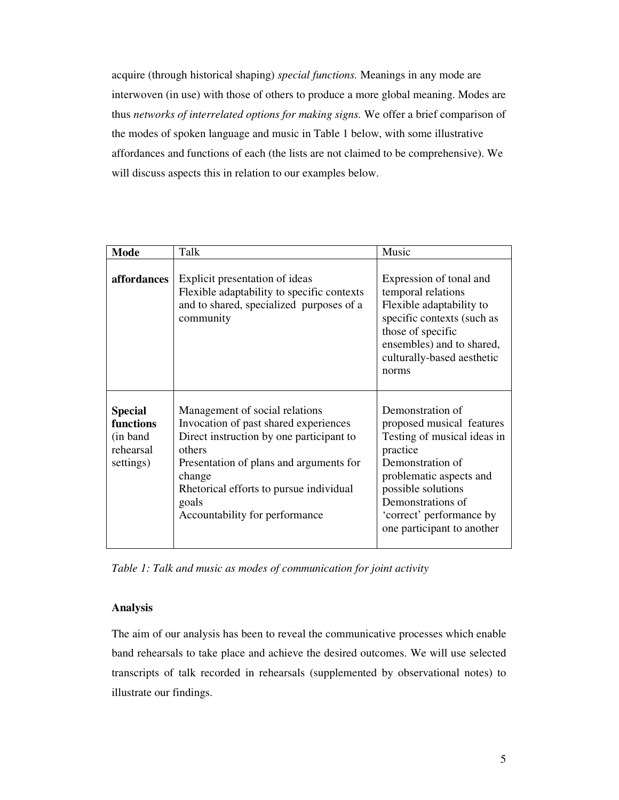acquire (through historical shaping) *special functions.* Meanings in any mode are interwoven (in use) with those of others to produce a more global meaning. Modes are thus *networks of interrelated options for making signs.* We offer a brief comparison of the modes of spoken language and music in Table 1 below, with some illustrative affordances and functions of each (the lists are not claimed to be comprehensive). We will discuss aspects this in relation to our examples below.

| <b>Mode</b>                                                        | Talk                                                                                                                                                                                                                                                                     | Music                                                                                                                                                                                                                                        |
|--------------------------------------------------------------------|--------------------------------------------------------------------------------------------------------------------------------------------------------------------------------------------------------------------------------------------------------------------------|----------------------------------------------------------------------------------------------------------------------------------------------------------------------------------------------------------------------------------------------|
| affordances                                                        | Explicit presentation of ideas<br>Flexible adaptability to specific contexts<br>and to shared, specialized purposes of a<br>community                                                                                                                                    | Expression of tonal and<br>temporal relations<br>Flexible adaptability to<br>specific contexts (such as<br>those of specific<br>ensembles) and to shared,<br>culturally-based aesthetic<br>norms                                             |
| <b>Special</b><br>functions<br>(in band)<br>rehearsal<br>settings) | Management of social relations<br>Invocation of past shared experiences<br>Direct instruction by one participant to<br>others<br>Presentation of plans and arguments for<br>change<br>Rhetorical efforts to pursue individual<br>goals<br>Accountability for performance | Demonstration of<br>proposed musical features<br>Testing of musical ideas in<br>practice<br>Demonstration of<br>problematic aspects and<br>possible solutions<br>Demonstrations of<br>'correct' performance by<br>one participant to another |

*Table 1: Talk and music as modes of communication for joint activity* 

# **Analysis**

The aim of our analysis has been to reveal the communicative processes which enable band rehearsals to take place and achieve the desired outcomes. We will use selected transcripts of talk recorded in rehearsals (supplemented by observational notes) to illustrate our findings.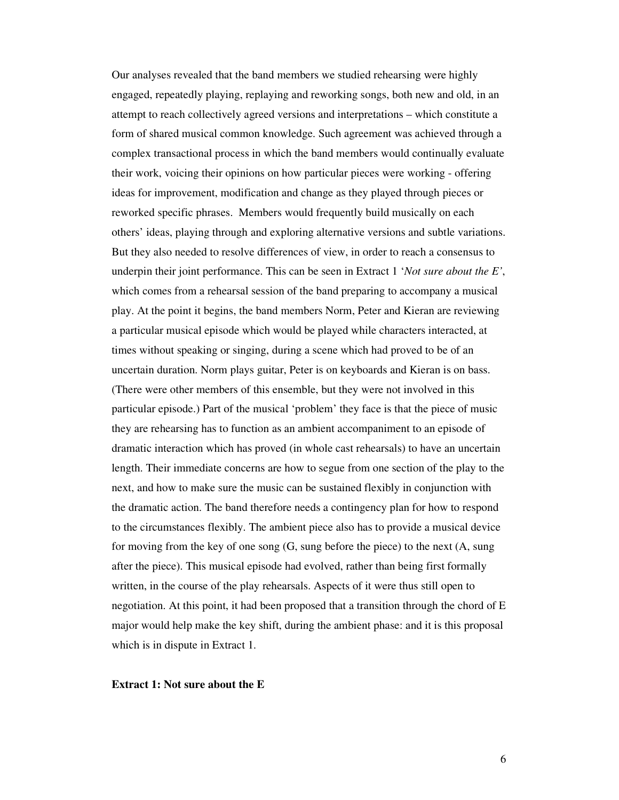Our analyses revealed that the band members we studied rehearsing were highly engaged, repeatedly playing, replaying and reworking songs, both new and old, in an attempt to reach collectively agreed versions and interpretations – which constitute a form of shared musical common knowledge. Such agreement was achieved through a complex transactional process in which the band members would continually evaluate their work, voicing their opinions on how particular pieces were working - offering ideas for improvement, modification and change as they played through pieces or reworked specific phrases. Members would frequently build musically on each others' ideas, playing through and exploring alternative versions and subtle variations. But they also needed to resolve differences of view, in order to reach a consensus to underpin their joint performance. This can be seen in Extract 1 '*Not sure about the E'*, which comes from a rehearsal session of the band preparing to accompany a musical play. At the point it begins, the band members Norm, Peter and Kieran are reviewing a particular musical episode which would be played while characters interacted, at times without speaking or singing, during a scene which had proved to be of an uncertain duration. Norm plays guitar, Peter is on keyboards and Kieran is on bass. (There were other members of this ensemble, but they were not involved in this particular episode.) Part of the musical 'problem' they face is that the piece of music they are rehearsing has to function as an ambient accompaniment to an episode of dramatic interaction which has proved (in whole cast rehearsals) to have an uncertain length. Their immediate concerns are how to segue from one section of the play to the next, and how to make sure the music can be sustained flexibly in conjunction with the dramatic action. The band therefore needs a contingency plan for how to respond to the circumstances flexibly. The ambient piece also has to provide a musical device for moving from the key of one song (G, sung before the piece) to the next (A, sung after the piece). This musical episode had evolved, rather than being first formally written, in the course of the play rehearsals. Aspects of it were thus still open to negotiation. At this point, it had been proposed that a transition through the chord of E major would help make the key shift, during the ambient phase: and it is this proposal which is in dispute in Extract 1.

# **Extract 1: Not sure about the E**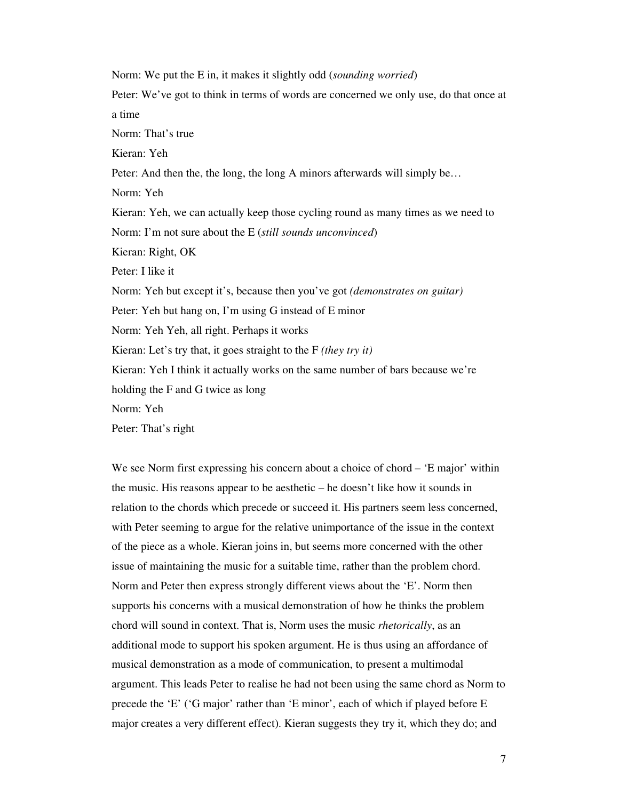Norm: We put the E in, it makes it slightly odd (*sounding worried*) Peter: We've got to think in terms of words are concerned we only use, do that once at a time Norm: That's true Kieran: Yeh Peter: And then the, the long, the long A minors afterwards will simply be… Norm: Yeh Kieran: Yeh, we can actually keep those cycling round as many times as we need to Norm: I'm not sure about the E (*still sounds unconvinced*) Kieran: Right, OK Peter: I like it Norm: Yeh but except it's, because then you've got *(demonstrates on guitar)* Peter: Yeh but hang on, I'm using G instead of E minor Norm: Yeh Yeh, all right. Perhaps it works Kieran: Let's try that, it goes straight to the F *(they try it)*  Kieran: Yeh I think it actually works on the same number of bars because we're holding the F and G twice as long Norm: Yeh Peter: That's right

We see Norm first expressing his concern about a choice of chord – 'E major' within the music. His reasons appear to be aesthetic – he doesn't like how it sounds in relation to the chords which precede or succeed it. His partners seem less concerned, with Peter seeming to argue for the relative unimportance of the issue in the context of the piece as a whole. Kieran joins in, but seems more concerned with the other issue of maintaining the music for a suitable time, rather than the problem chord. Norm and Peter then express strongly different views about the 'E'. Norm then supports his concerns with a musical demonstration of how he thinks the problem chord will sound in context. That is, Norm uses the music *rhetorically*, as an additional mode to support his spoken argument. He is thus using an affordance of musical demonstration as a mode of communication, to present a multimodal argument. This leads Peter to realise he had not been using the same chord as Norm to precede the 'E' ('G major' rather than 'E minor', each of which if played before E major creates a very different effect). Kieran suggests they try it, which they do; and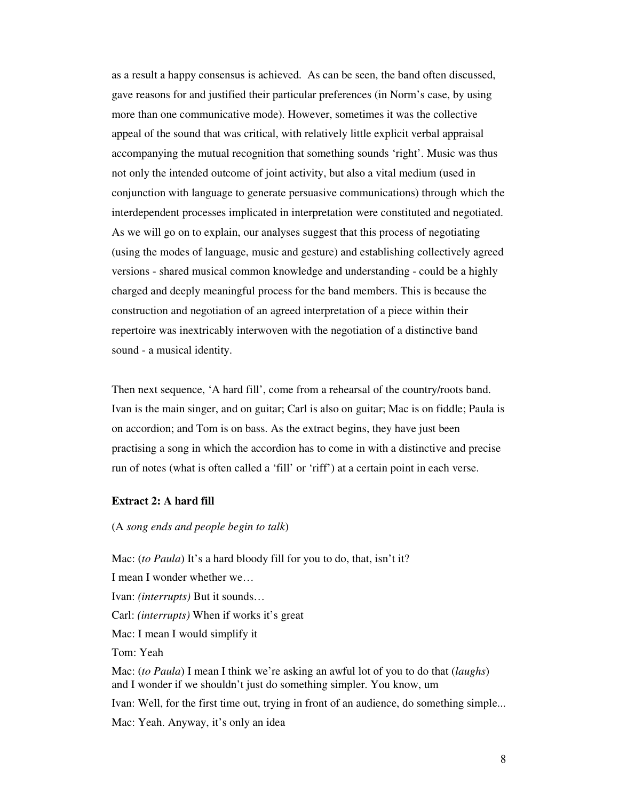as a result a happy consensus is achieved. As can be seen, the band often discussed, gave reasons for and justified their particular preferences (in Norm's case, by using more than one communicative mode). However, sometimes it was the collective appeal of the sound that was critical, with relatively little explicit verbal appraisal accompanying the mutual recognition that something sounds 'right'. Music was thus not only the intended outcome of joint activity, but also a vital medium (used in conjunction with language to generate persuasive communications) through which the interdependent processes implicated in interpretation were constituted and negotiated. As we will go on to explain, our analyses suggest that this process of negotiating (using the modes of language, music and gesture) and establishing collectively agreed versions - shared musical common knowledge and understanding - could be a highly charged and deeply meaningful process for the band members. This is because the construction and negotiation of an agreed interpretation of a piece within their repertoire was inextricably interwoven with the negotiation of a distinctive band sound - a musical identity.

Then next sequence, 'A hard fill', come from a rehearsal of the country/roots band. Ivan is the main singer, and on guitar; Carl is also on guitar; Mac is on fiddle; Paula is on accordion; and Tom is on bass. As the extract begins, they have just been practising a song in which the accordion has to come in with a distinctive and precise run of notes (what is often called a 'fill' or 'riff') at a certain point in each verse.

# **Extract 2: A hard fill**

### (A *song ends and people begin to talk*)

Mac: *(to Paula)* It's a hard bloody fill for you to do, that, isn't it? I mean I wonder whether we… Ivan: *(interrupts)* But it sounds… Carl: *(interrupts)* When if works it's great Mac: I mean I would simplify it Tom: Yeah Mac: (*to Paula*) I mean I think we're asking an awful lot of you to do that (*laughs*) and I wonder if we shouldn't just do something simpler. You know, um Ivan: Well, for the first time out, trying in front of an audience, do something simple... Mac: Yeah. Anyway, it's only an idea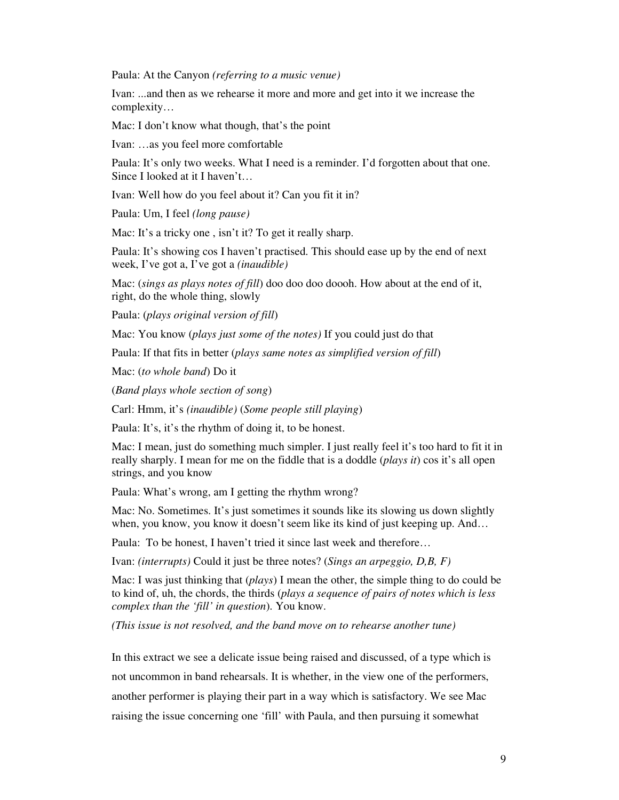Paula: At the Canyon *(referring to a music venue)*

Ivan: ...and then as we rehearse it more and more and get into it we increase the complexity…

Mac: I don't know what though, that's the point

Ivan: …as you feel more comfortable

Paula: It's only two weeks. What I need is a reminder. I'd forgotten about that one. Since I looked at it I haven't…

Ivan: Well how do you feel about it? Can you fit it in?

Paula: Um, I feel *(long pause)*

Mac: It's a tricky one, isn't it? To get it really sharp.

Paula: It's showing cos I haven't practised. This should ease up by the end of next week, I've got a, I've got a *(inaudible)*

Mac: (*sings as plays notes of fill*) doo doo doo doooh. How about at the end of it, right, do the whole thing, slowly

Paula: (*plays original version of fill*)

Mac: You know (*plays just some of the notes)* If you could just do that

Paula: If that fits in better (*plays same notes as simplified version of fill*)

Mac: (*to whole band*) Do it

(*Band plays whole section of song*)

Carl: Hmm, it's *(inaudible)* (*Some people still playing*)

Paula: It's, it's the rhythm of doing it, to be honest.

Mac: I mean, just do something much simpler. I just really feel it's too hard to fit it in really sharply. I mean for me on the fiddle that is a doddle (*plays it*) cos it's all open strings, and you know

Paula: What's wrong, am I getting the rhythm wrong?

Mac: No. Sometimes. It's just sometimes it sounds like its slowing us down slightly when, you know, you know it doesn't seem like its kind of just keeping up. And...

Paula: To be honest, I haven't tried it since last week and therefore…

Ivan: *(interrupts)* Could it just be three notes? (*Sings an arpeggio, D,B, F)* 

Mac: I was just thinking that (*plays*) I mean the other, the simple thing to do could be to kind of, uh, the chords, the thirds (*plays a sequence of pairs of notes which is less complex than the 'fill' in question*). You know.

*(This issue is not resolved, and the band move on to rehearse another tune)* 

In this extract we see a delicate issue being raised and discussed, of a type which is not uncommon in band rehearsals. It is whether, in the view one of the performers, another performer is playing their part in a way which is satisfactory. We see Mac raising the issue concerning one 'fill' with Paula, and then pursuing it somewhat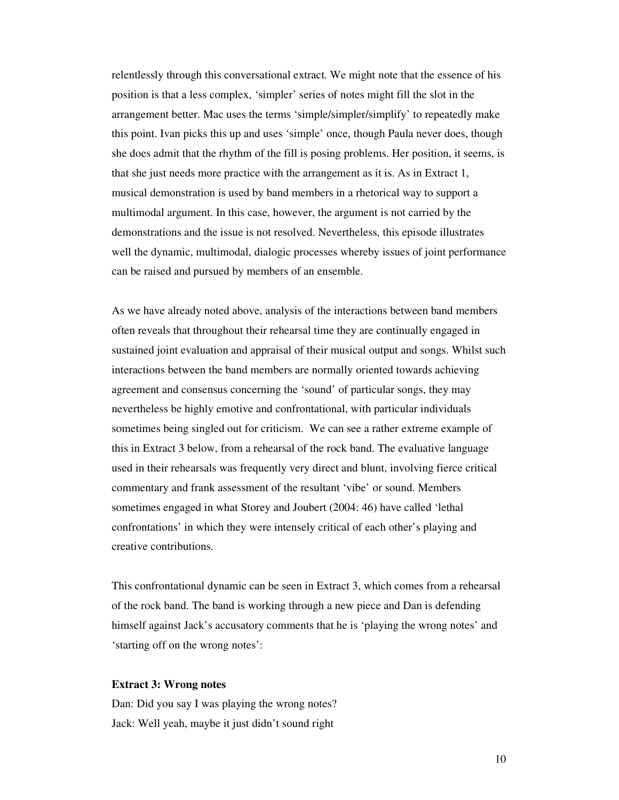relentlessly through this conversational extract. We might note that the essence of his position is that a less complex, 'simpler' series of notes might fill the slot in the arrangement better. Mac uses the terms 'simple/simpler/simplify' to repeatedly make this point. Ivan picks this up and uses 'simple' once, though Paula never does, though she does admit that the rhythm of the fill is posing problems. Her position, it seems, is that she just needs more practice with the arrangement as it is. As in Extract 1, musical demonstration is used by band members in a rhetorical way to support a multimodal argument. In this case, however, the argument is not carried by the demonstrations and the issue is not resolved. Nevertheless, this episode illustrates well the dynamic, multimodal, dialogic processes whereby issues of joint performance can be raised and pursued by members of an ensemble.

As we have already noted above, analysis of the interactions between band members often reveals that throughout their rehearsal time they are continually engaged in sustained joint evaluation and appraisal of their musical output and songs. Whilst such interactions between the band members are normally oriented towards achieving agreement and consensus concerning the 'sound' of particular songs, they may nevertheless be highly emotive and confrontational, with particular individuals sometimes being singled out for criticism. We can see a rather extreme example of this in Extract 3 below, from a rehearsal of the rock band. The evaluative language used in their rehearsals was frequently very direct and blunt, involving fierce critical commentary and frank assessment of the resultant 'vibe' or sound. Members sometimes engaged in what Storey and Joubert (2004: 46) have called 'lethal confrontations' in which they were intensely critical of each other's playing and creative contributions.

This confrontational dynamic can be seen in Extract 3, which comes from a rehearsal of the rock band. The band is working through a new piece and Dan is defending himself against Jack's accusatory comments that he is 'playing the wrong notes' and 'starting off on the wrong notes':

#### **Extract 3: Wrong notes**

Dan: Did you say I was playing the wrong notes? Jack: Well yeah, maybe it just didn't sound right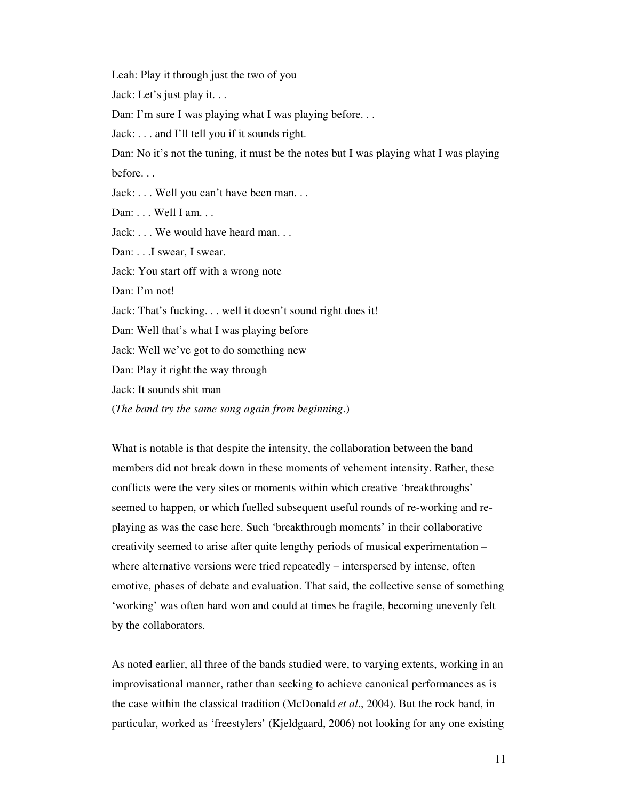Leah: Play it through just the two of you

Jack: Let's just play it. . .

Dan: I'm sure I was playing what I was playing before...

Jack: . . . and I'll tell you if it sounds right.

Dan: No it's not the tuning, it must be the notes but I was playing what I was playing before. . .

Jack: . . . Well you can't have been man. . .

Dan: . . . Well I am. . .

Jack: . . . We would have heard man. . .

Dan: . . . I swear, I swear.

Jack: You start off with a wrong note

Dan: I'm not!

Jack: That's fucking. . . well it doesn't sound right does it!

Dan: Well that's what I was playing before

Jack: Well we've got to do something new

Dan: Play it right the way through

Jack: It sounds shit man

(*The band try the same song again from beginning*.)

What is notable is that despite the intensity, the collaboration between the band members did not break down in these moments of vehement intensity. Rather, these conflicts were the very sites or moments within which creative 'breakthroughs' seemed to happen, or which fuelled subsequent useful rounds of re-working and replaying as was the case here. Such 'breakthrough moments' in their collaborative creativity seemed to arise after quite lengthy periods of musical experimentation – where alternative versions were tried repeatedly – interspersed by intense, often emotive, phases of debate and evaluation. That said, the collective sense of something 'working' was often hard won and could at times be fragile, becoming unevenly felt by the collaborators.

As noted earlier, all three of the bands studied were, to varying extents, working in an improvisational manner, rather than seeking to achieve canonical performances as is the case within the classical tradition (McDonald *et al*., 2004). But the rock band, in particular, worked as 'freestylers' (Kjeldgaard, 2006) not looking for any one existing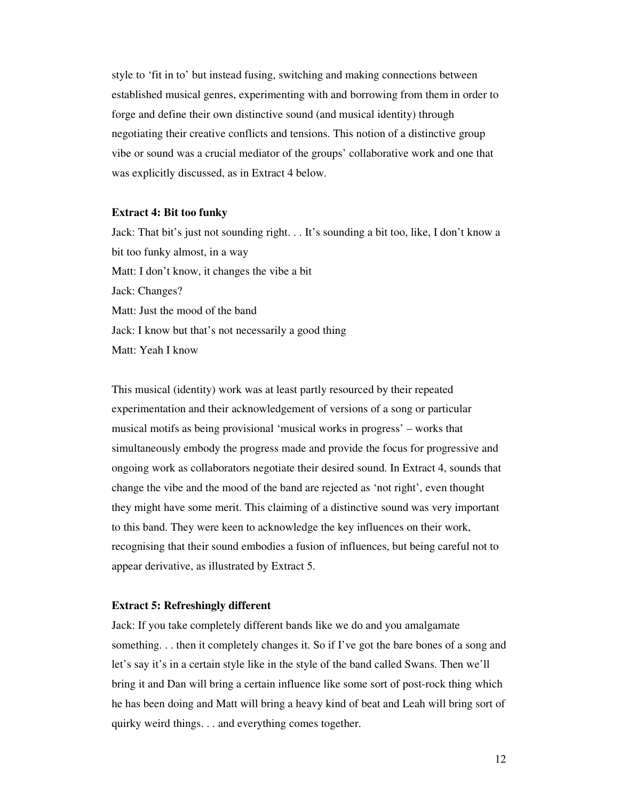style to 'fit in to' but instead fusing, switching and making connections between established musical genres, experimenting with and borrowing from them in order to forge and define their own distinctive sound (and musical identity) through negotiating their creative conflicts and tensions. This notion of a distinctive group vibe or sound was a crucial mediator of the groups' collaborative work and one that was explicitly discussed, as in Extract 4 below.

#### **Extract 4: Bit too funky**

Jack: That bit's just not sounding right. . . It's sounding a bit too, like, I don't know a bit too funky almost, in a way Matt: I don't know, it changes the vibe a bit Jack: Changes? Matt: Just the mood of the band Jack: I know but that's not necessarily a good thing Matt: Yeah I know

This musical (identity) work was at least partly resourced by their repeated experimentation and their acknowledgement of versions of a song or particular musical motifs as being provisional 'musical works in progress' – works that simultaneously embody the progress made and provide the focus for progressive and ongoing work as collaborators negotiate their desired sound. In Extract 4, sounds that change the vibe and the mood of the band are rejected as 'not right', even thought they might have some merit. This claiming of a distinctive sound was very important to this band. They were keen to acknowledge the key influences on their work, recognising that their sound embodies a fusion of influences, but being careful not to appear derivative, as illustrated by Extract 5.

# **Extract 5: Refreshingly different**

Jack: If you take completely different bands like we do and you amalgamate something. . . then it completely changes it. So if I've got the bare bones of a song and let's say it's in a certain style like in the style of the band called Swans. Then we'll bring it and Dan will bring a certain influence like some sort of post-rock thing which he has been doing and Matt will bring a heavy kind of beat and Leah will bring sort of quirky weird things. . . and everything comes together.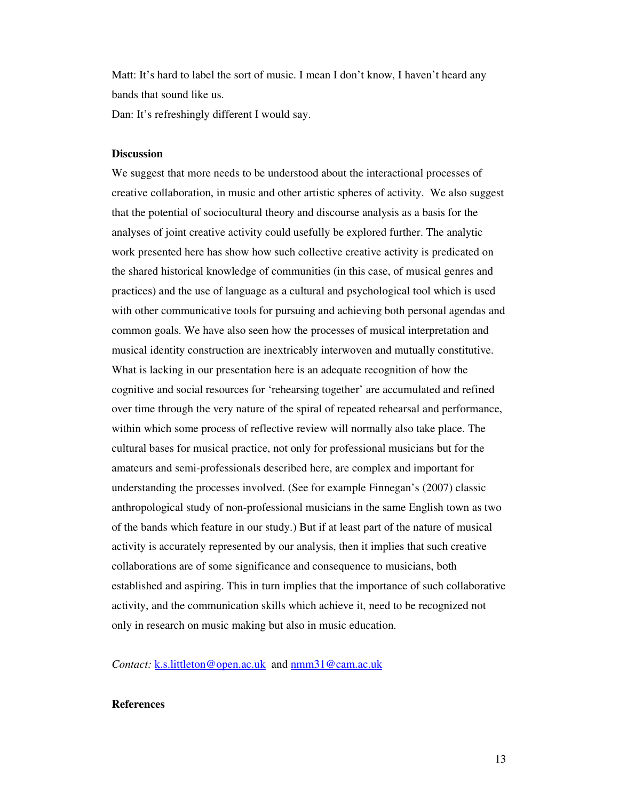Matt: It's hard to label the sort of music. I mean I don't know, I haven't heard any bands that sound like us.

Dan: It's refreshingly different I would say.

# **Discussion**

We suggest that more needs to be understood about the interactional processes of creative collaboration, in music and other artistic spheres of activity. We also suggest that the potential of sociocultural theory and discourse analysis as a basis for the analyses of joint creative activity could usefully be explored further. The analytic work presented here has show how such collective creative activity is predicated on the shared historical knowledge of communities (in this case, of musical genres and practices) and the use of language as a cultural and psychological tool which is used with other communicative tools for pursuing and achieving both personal agendas and common goals. We have also seen how the processes of musical interpretation and musical identity construction are inextricably interwoven and mutually constitutive. What is lacking in our presentation here is an adequate recognition of how the cognitive and social resources for 'rehearsing together' are accumulated and refined over time through the very nature of the spiral of repeated rehearsal and performance, within which some process of reflective review will normally also take place. The cultural bases for musical practice, not only for professional musicians but for the amateurs and semi-professionals described here, are complex and important for understanding the processes involved. (See for example Finnegan's (2007) classic anthropological study of non-professional musicians in the same English town as two of the bands which feature in our study.) But if at least part of the nature of musical activity is accurately represented by our analysis, then it implies that such creative collaborations are of some significance and consequence to musicians, both established and aspiring. This in turn implies that the importance of such collaborative activity, and the communication skills which achieve it, need to be recognized not only in research on music making but also in music education.

*Contact:* k.s.littleton@open.ac.uk and nmm31@cam.ac.uk

# **References**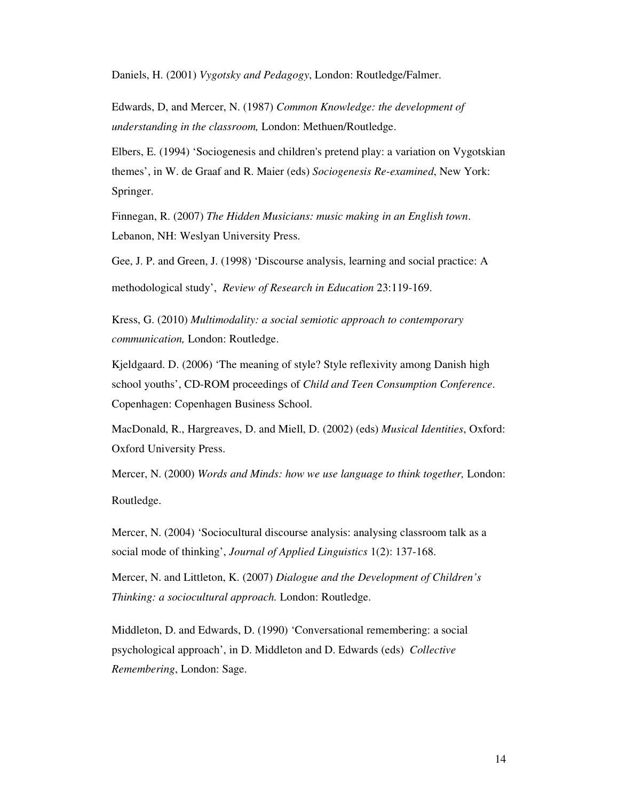Daniels, H. (2001) *Vygotsky and Pedagogy*, London: Routledge/Falmer.

Edwards, D, and Mercer, N. (1987) *Common Knowledge: the development of understanding in the classroom,* London: Methuen/Routledge.

Elbers, E. (1994) 'Sociogenesis and children's pretend play: a variation on Vygotskian themes', in W. de Graaf and R. Maier (eds) *Sociogenesis Re-examined*, New York: Springer.

Finnegan, R. (2007) *The Hidden Musicians: music making in an English town*. Lebanon, NH: Weslyan University Press.

Gee, J. P. and Green, J. (1998) 'Discourse analysis, learning and social practice: A methodological study', *Review of Research in Education* 23:119-169.

Kress, G. (2010) *Multimodality: a social semiotic approach to contemporary communication,* London: Routledge.

Kjeldgaard. D. (2006) 'The meaning of style? Style reflexivity among Danish high school youths', CD-ROM proceedings of *Child and Teen Consumption Conference*. Copenhagen: Copenhagen Business School.

MacDonald, R., Hargreaves, D. and Miell, D. (2002) (eds) *Musical Identities*, Oxford: Oxford University Press.

Mercer, N. (2000) *Words and Minds: how we use language to think together,* London: Routledge.

Mercer, N. (2004) 'Sociocultural discourse analysis: analysing classroom talk as a social mode of thinking', *Journal of Applied Linguistics* 1(2): 137-168.

Mercer, N. and Littleton, K. (2007) *Dialogue and the Development of Children's Thinking: a sociocultural approach.* London: Routledge.

Middleton, D. and Edwards, D. (1990) 'Conversational remembering: a social psychological approach', in D. Middleton and D. Edwards (eds) *Collective Remembering*, London: Sage.